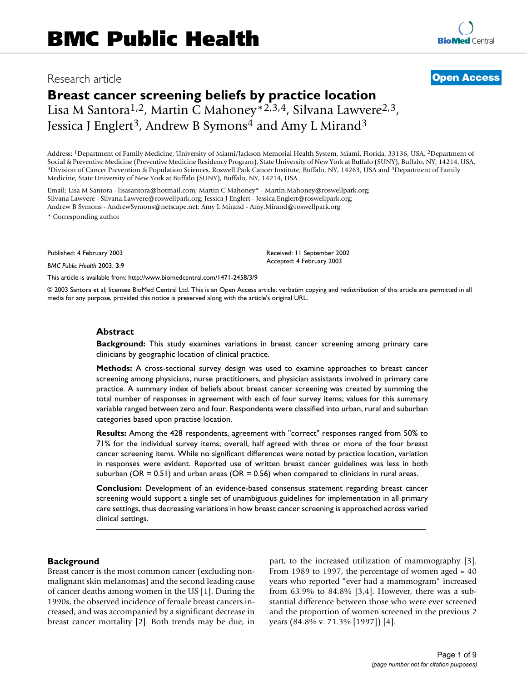## Research article **[Open Access](http://www.biomedcentral.com/info/about/charter/)**

**Breast cancer screening beliefs by practice location** Lisa M Santora<sup>1,2</sup>, Martin C Mahoney<sup>\*2,3,4</sup>, Silvana Lawvere<sup>2,3</sup>, Jessica J Englert<sup>3</sup>, Andrew B Symons<sup>4</sup> and Amy L Mirand<sup>3</sup>

Address: <sup>1</sup>Department of Family Medicine, University of Miami/Jackson Memorial Health System, Miami, Florida, 33136, USA, <sup>2</sup>Department of Social & Preventive Medicine (Preventive Medicine Residency Program), State Univer <sup>3</sup>Division of Cancer Prevention & Population Sciences, Roswell Park Cancer Institute, Buffalo, NY, 14263, USA and <sup>4</sup>Department of Family Medicine, State University of New York at Buffalo (SUNY), Buffalo, NY, 14214, USA

Email: Lisa M Santora - lisasantora@hotmail.com; Martin C Mahoney\* - Martin.Mahoney@roswellpark.org; Silvana Lawvere - Silvana.Lawvere@roswellpark.org; Jessica J Englert - Jessica.Englert@roswellpark.org; Andrew B Symons - AndrewSymons@netscape.net; Amy L Mirand - Amy.Mirand@roswellpark.org

\* Corresponding author

Published: 4 February 2003

*BMC Public Health* 2003, **3**:9

[This article is available from: http://www.biomedcentral.com/1471-2458/3/9](http://www.biomedcentral.com/1471-2458/3/9)

© 2003 Santora et al; licensee BioMed Central Ltd. This is an Open Access article: verbatim copying and redistribution of this article are permitted in all media for any purpose, provided this notice is preserved along with the article's original URL.

Received: 11 September 2002 Accepted: 4 February 2003

#### **Abstract**

**Background:** This study examines variations in breast cancer screening among primary care clinicians by geographic location of clinical practice.

**Methods:** A cross-sectional survey design was used to examine approaches to breast cancer screening among physicians, nurse practitioners, and physician assistants involved in primary care practice. A summary index of beliefs about breast cancer screening was created by summing the total number of responses in agreement with each of four survey items; values for this summary variable ranged between zero and four. Respondents were classified into urban, rural and suburban categories based upon practise location.

**Results:** Among the 428 respondents, agreement with "correct" responses ranged from 50% to 71% for the individual survey items; overall, half agreed with three or more of the four breast cancer screening items. While no significant differences were noted by practice location, variation in responses were evident. Reported use of written breast cancer guidelines was less in both suburban (OR =  $0.51$ ) and urban areas (OR =  $0.56$ ) when compared to clinicians in rural areas.

**Conclusion:** Development of an evidence-based consensus statement regarding breast cancer screening would support a single set of unambiguous guidelines for implementation in all primary care settings, thus decreasing variations in how breast cancer screening is approached across varied clinical settings.

#### **Background**

Breast cancer is the most common cancer (excluding nonmalignant skin melanomas) and the second leading cause of cancer deaths among women in the US [1]. During the 1990s, the observed incidence of female breast cancers increased, and was accompanied by a significant decrease in breast cancer mortality [2]. Both trends may be due, in part, to the increased utilization of mammography [3]. From 1989 to 1997, the percentage of women aged  $= 40$ years who reported "ever had a mammogram" increased from 63.9% to 84.8% [3,4]. However, there was a substantial difference between those who were ever screened and the proportion of women screened in the previous 2 years (84.8% v. 71.3% [1997]) [4].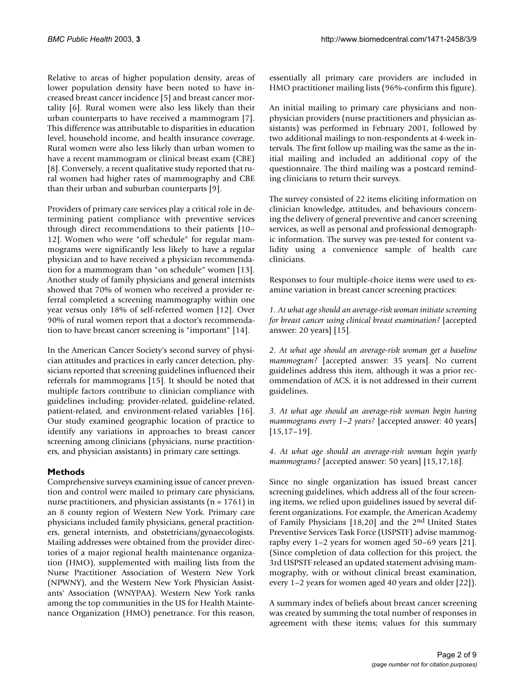Relative to areas of higher population density, areas of lower population density have been noted to have increased breast cancer incidence [5] and breast cancer mortality [6]. Rural women were also less likely than their urban counterparts to have received a mammogram [7]. This difference was attributable to disparities in education level, household income, and health insurance coverage. Rural women were also less likely than urban women to have a recent mammogram or clinical breast exam (CBE) [8]. Conversely, a recent qualitative study reported that rural women had higher rates of mammography and CBE than their urban and suburban counterparts [9].

Providers of primary care services play a critical role in determining patient compliance with preventive services through direct recommendations to their patients [10– 12]. Women who were "off schedule" for regular mammograms were significantly less likely to have a regular physician and to have received a physician recommendation for a mammogram than "on schedule" women [13]. Another study of family physicians and general internists showed that 70% of women who received a provider referral completed a screening mammography within one year versus only 18% of self-referred women [12]. Over 90% of rural women report that a doctor's recommendation to have breast cancer screening is "important" [14].

In the American Cancer Society's second survey of physician attitudes and practices in early cancer detection, physicians reported that screening guidelines influenced their referrals for mammograms [15]. It should be noted that multiple factors contribute to clinician compliance with guidelines including: provider-related, guideline-related, patient-related, and environment-related variables [16]. Our study examined geographic location of practice to identify any variations in approaches to breast cancer screening among clinicians (physicians, nurse practitioners, and physician assistants) in primary care settings.

#### **Methods**

Comprehensive surveys examining issue of cancer prevention and control were mailed to primary care physicians, nurse practitioners, and physician assistants ( $n = 1761$ ) in an 8 county region of Western New York. Primary care physicians included family physicians, general practitioners, general internists, and obstetricians/gynaecologists. Mailing addresses were obtained from the provider directories of a major regional health maintenance organization (HMO), supplemented with mailing lists from the Nurse Practitioner Association of Western New York (NPWNY), and the Western New York Physician Assistants' Association (WNYPAA). Western New York ranks among the top communities in the US for Health Maintenance Organization (HMO) penetrance. For this reason,

essentially all primary care providers are included in HMO practitioner mailing lists (96%-confirm this figure).

An initial mailing to primary care physicians and nonphysician providers (nurse practitioners and physician assistants) was performed in February 2001, followed by two additional mailings to non-respondents at 4-week intervals. The first follow up mailing was the same as the initial mailing and included an additional copy of the questionnaire. The third mailing was a postcard reminding clinicians to return their surveys.

The survey consisted of 22 items eliciting information on clinician knowledge, attitudes, and behaviours concerning the delivery of general preventive and cancer screening services, as well as personal and professional demographic information. The survey was pre-tested for content validity using a convenience sample of health care clinicians.

Responses to four multiple-choice items were used to examine variation in breast cancer screening practices:

*1. At what age should an average-risk woman initiate screening for breast cancer using clinical breast examination?* [accepted answer: 20 years] [15].

*2. At what age should an average-risk woman get a baseline mammogram?* [accepted answer: 35 years]. No current guidelines address this item, although it was a prior recommendation of ACS, it is not addressed in their current guidelines.

*3. At what age should an average-risk woman begin having mammograms every 1–2 years?* [accepted answer: 40 years] [15,17–19].

*4. At what age should an average-risk woman begin yearly mammograms?* [accepted answer: 50 years] [15,17,18].

Since no single organization has issued breast cancer screening guidelines, which address all of the four screening items, we relied upon guidelines issued by several different organizations. For example, the American Academy of Family Physicians [18,20] and the 2nd United States Preventive Services Task Force (USPSTF) advise mammography every 1–2 years for women aged 50–69 years [21]. (Since completion of data collection for this project, the 3rd USPSTF released an updated statement advising mammography, with or without clinical breast examination, every 1–2 years for women aged 40 years and older [22]).

A summary index of beliefs about breast cancer screening was created by summing the total number of responses in agreement with these items; values for this summary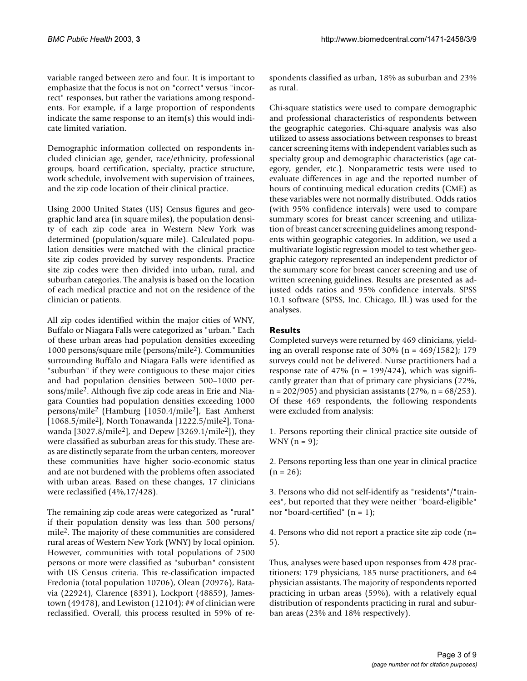variable ranged between zero and four. It is important to emphasize that the focus is not on "correct" versus "incorrect" responses, but rather the variations among respondents. For example, if a large proportion of respondents indicate the same response to an item(s) this would indicate limited variation.

Demographic information collected on respondents included clinician age, gender, race/ethnicity, professional groups, board certification, specialty, practice structure, work schedule, involvement with supervision of trainees, and the zip code location of their clinical practice.

Using 2000 United States (US) Census figures and geographic land area (in square miles), the population density of each zip code area in Western New York was determined (population/square mile). Calculated population densities were matched with the clinical practice site zip codes provided by survey respondents. Practice site zip codes were then divided into urban, rural, and suburban categories. The analysis is based on the location of each medical practice and not on the residence of the clinician or patients.

All zip codes identified within the major cities of WNY, Buffalo or Niagara Falls were categorized as "urban." Each of these urban areas had population densities exceeding 1000 persons/square mile (persons/mile2). Communities surrounding Buffalo and Niagara Falls were identified as "suburban" if they were contiguous to these major cities and had population densities between 500–1000 persons/mile2. Although five zip code areas in Erie and Niagara Counties had population densities exceeding 1000 persons/mile2 (Hamburg [1050.4/mile2], East Amherst [1068.5/mile2], North Tonawanda [1222.5/mile2], Tonawanda [3027.8/mile2], and Depew [3269.1/mile2]), they were classified as suburban areas for this study. These areas are distinctly separate from the urban centers, moreover these communities have higher socio-economic status and are not burdened with the problems often associated with urban areas. Based on these changes, 17 clinicians were reclassified (4%,17/428).

The remaining zip code areas were categorized as "rural" if their population density was less than 500 persons/ mile2. The majority of these communities are considered rural areas of Western New York (WNY) by local opinion. However, communities with total populations of 2500 persons or more were classified as "suburban" consistent with US Census criteria. This re-classification impacted Fredonia (total population 10706), Olean (20976), Batavia (22924), Clarence (8391), Lockport (48859), Jamestown (49478), and Lewiston (12104); ## of clinician were reclassified. Overall, this process resulted in 59% of respondents classified as urban, 18% as suburban and 23% as rural.

Chi-square statistics were used to compare demographic and professional characteristics of respondents between the geographic categories. Chi-square analysis was also utilized to assess associations between responses to breast cancer screening items with independent variables such as specialty group and demographic characteristics (age category, gender, etc.). Nonparametric tests were used to evaluate differences in age and the reported number of hours of continuing medical education credits (CME) as these variables were not normally distributed. Odds ratios (with 95% confidence intervals) were used to compare summary scores for breast cancer screening and utilization of breast cancer screening guidelines among respondents within geographic categories. In addition, we used a multivariate logistic regression model to test whether geographic category represented an independent predictor of the summary score for breast cancer screening and use of written screening guidelines. Results are presented as adjusted odds ratios and 95% confidence intervals. SPSS 10.1 software (SPSS, Inc. Chicago, Ill.) was used for the analyses.

### **Results**

Completed surveys were returned by 469 clinicians, yielding an overall response rate of  $30\%$  (n =  $469/1582$ ); 179 surveys could not be delivered. Nurse practitioners had a response rate of 47% (n = 199/424), which was significantly greater than that of primary care physicians (22%,  $n = 202/905$ ) and physician assistants (27%,  $n = 68/253$ ). Of these 469 respondents, the following respondents were excluded from analysis:

1. Persons reporting their clinical practice site outside of WNY  $(n = 9)$ ;

2. Persons reporting less than one year in clinical practice  $(n = 26);$ 

3. Persons who did not self-identify as "residents"/"trainees", but reported that they were neither "board-eligible" nor "board-certified"  $(n = 1)$ ;

4. Persons who did not report a practice site zip code (n= 5).

Thus, analyses were based upon responses from 428 practitioners: 179 physicians, 185 nurse practitioners, and 64 physician assistants. The majority of respondents reported practicing in urban areas (59%), with a relatively equal distribution of respondents practicing in rural and suburban areas (23% and 18% respectively).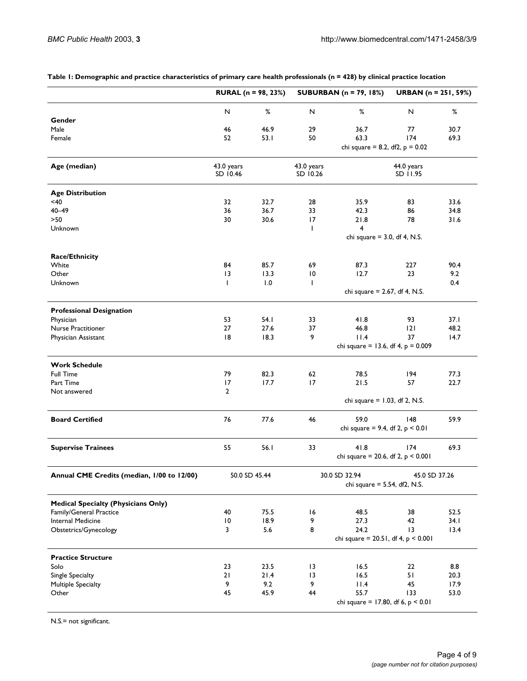<span id="page-3-0"></span>

|                                            | <b>RURAL (n = 98, 23%)</b> |      | <b>SUBURBAN (n = 79, 18%)</b>            |                                       | <b>URBAN</b> (n = 251, 59%) |       |
|--------------------------------------------|----------------------------|------|------------------------------------------|---------------------------------------|-----------------------------|-------|
|                                            | N                          | %    | N                                        | %                                     | N                           | $\%$  |
| Gender                                     |                            |      |                                          |                                       |                             |       |
| Male                                       | 46                         | 46.9 | 29                                       | 36.7                                  | 77                          | 30.7  |
| Female                                     | 52                         | 53.1 | 50                                       | 63.3                                  | 174                         | 69.3  |
|                                            |                            |      |                                          | chi square = 8.2, df2, $p = 0.02$     |                             |       |
| Age (median)                               | 43.0 years                 |      | 43.0 years                               |                                       | 44.0 years                  |       |
|                                            | SD 10.46                   |      | SD 10.26                                 |                                       | SD 11.95                    |       |
| <b>Age Distribution</b>                    |                            |      |                                          |                                       |                             |       |
| $<$ 40                                     | 32                         | 32.7 | 28                                       | 35.9                                  | 83                          | 33.6  |
| $40 - 49$                                  | 36                         | 36.7 | 33                                       | 42.3                                  | 86                          | 34.8  |
| $>50$                                      | 30                         | 30.6 | 17                                       | 21.8                                  | 78                          | 31.6  |
| Unknown                                    |                            |      | L                                        | $\overline{4}$                        |                             |       |
|                                            |                            |      | chi square = $3.0$ , df 4, N.S.          |                                       |                             |       |
| Race/Ethnicity                             |                            |      |                                          |                                       |                             |       |
| White                                      | 84                         | 85.7 | 69                                       | 87.3                                  | 227                         | 90.4  |
| Other                                      | 13                         | 13.3 | $\overline{10}$                          | 12.7                                  | 23                          | 9.2   |
| Unknown                                    | $\mathbf{I}$               | 1.0  | $\mathbf{I}$                             |                                       |                             | 0.4   |
|                                            |                            |      | chi square = $2.67$ , df 4, N.S.         |                                       |                             |       |
| <b>Professional Designation</b>            |                            |      |                                          |                                       |                             |       |
| Physician                                  | 53                         | 54.1 | 33                                       | 41.8                                  | 93                          | 37.1  |
| <b>Nurse Practitioner</b>                  | 27                         | 27.6 | 37                                       | 46.8                                  | 2                           | 48.2  |
| Physician Assistant                        | 18                         | 18.3 | 9                                        | 11.4                                  | 37                          | 14.7  |
|                                            |                            |      | chi square = 13.6, df 4, $p = 0.009$     |                                       |                             |       |
| <b>Work Schedule</b>                       |                            |      |                                          |                                       |                             |       |
| <b>Full Time</b>                           | 79                         | 82.3 | 62                                       | 78.5                                  | 194                         | 77.3  |
| Part Time                                  | 17                         | 17.7 | 17                                       | 21.5                                  | 57                          | 22.7  |
| Not answered                               | $\overline{2}$             |      |                                          |                                       |                             |       |
|                                            |                            |      |                                          | chi square $= 1.03$ , df 2, N.S.      |                             |       |
| <b>Board Certified</b>                     | 76                         | 77.6 | 46                                       | 59.0                                  | 48                          | 59.9  |
|                                            |                            |      |                                          | chi square = $9.4$ , df 2, p < $0.01$ |                             |       |
| <b>Supervise Trainees</b>                  | 55                         | 56.1 | 33                                       | 41.8                                  | 174                         | 69.3  |
|                                            |                            |      |                                          | chi square = 20.6, df 2, $p < 0.001$  |                             |       |
| Annual CME Credits (median, 1/00 to 12/00) | 50.0 SD 45.44              |      | 30.0 SD 32.94                            |                                       | 45.0 SD 37.26               |       |
|                                            |                            |      | chi square $= 5.54$ , df2, N.S.          |                                       |                             |       |
| <b>Medical Specialty (Physicians Only)</b> |                            |      |                                          |                                       |                             |       |
| Family/General Practice                    | 40                         | 75.5 | 16                                       | 48.5                                  | 38                          | 52.5  |
| Internal Medicine                          | $\overline{10}$            | 18.9 | 9                                        | 27.3                                  | 42                          | 34. I |
| Obstetrics/Gynecology                      | 3                          | 5.6  | 8                                        | 24.2                                  | $\overline{13}$             | 13.4  |
|                                            |                            |      | chi square = $20.51$ , df 4, p < $0.001$ |                                       |                             |       |
| <b>Practice Structure</b>                  |                            |      |                                          |                                       |                             |       |
| Solo                                       | 23                         | 23.5 | $\overline{13}$                          | 16.5                                  | 22                          | 8.8   |
| Single Specialty                           | 21                         | 21.4 | 13                                       | 16.5                                  | 51                          | 20.3  |
| Multiple Specialty                         | 9                          | 9.2  | 9                                        | 11.4                                  | 45                          | 17.9  |
| Other                                      | 45                         | 45.9 | 44                                       | 55.7                                  | 133                         | 53.0  |
|                                            |                            |      |                                          | chi square = 17.80, df 6, $p < 0.01$  |                             |       |
|                                            |                            |      |                                          |                                       |                             |       |

N.S.= not significant.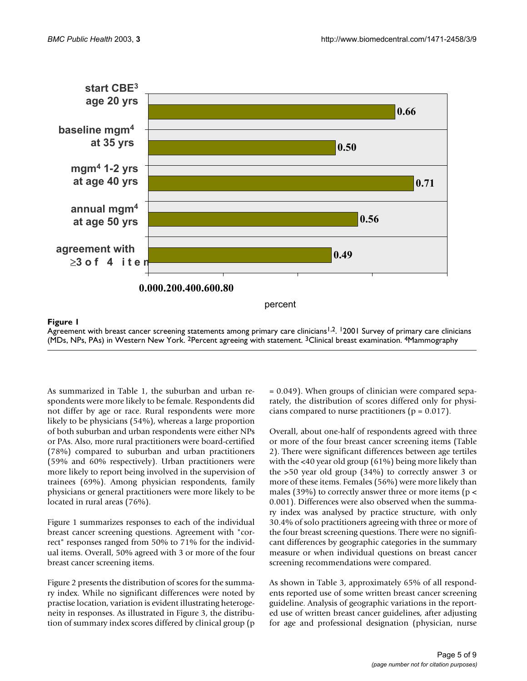

# Agreement with breast cancer screening statements among primary care clinicians<sup>1,2</sup>. <sup>1</sup>2001 Survey of primary care clinicians

(MDs, NPs, PAs) in Western New York. 2Percent agreeing with statement. 3Clinical breast examination. 4Mammography

As summarized in Table [1](#page-3-0), the suburban and urban respondents were more likely to be female. Respondents did not differ by age or race. Rural respondents were more likely to be physicians (54%), whereas a large proportion of both suburban and urban respondents were either NPs or PAs. Also, more rural practitioners were board-certified (78%) compared to suburban and urban practitioners (59% and 60% respectively). Urban practitioners were more likely to report being involved in the supervision of trainees (69%). Among physician respondents, family physicians or general practitioners were more likely to be located in rural areas (76%).

Figure 1 summarizes responses to each of the individual breast cancer screening questions. Agreement with "correct" responses ranged from 50% to 71% for the individual items. Overall, 50% agreed with 3 or more of the four breast cancer screening items.

Figure 2 presents the distribution of scores for the summary index. While no significant differences were noted by practise location, variation is evident illustrating heterogeneity in responses. As illustrated in Figure [3](#page-6-0), the distribution of summary index scores differed by clinical group (p = 0.049). When groups of clinician were compared separately, the distribution of scores differed only for physicians compared to nurse practitioners ( $p = 0.017$ ).

Overall, about one-half of respondents agreed with three or more of the four breast cancer screening items (Table [2](#page-6-1)). There were significant differences between age tertiles with the <40 year old group (61%) being more likely than the >50 year old group (34%) to correctly answer 3 or more of these items. Females (56%) were more likely than males (39%) to correctly answer three or more items ( $p <$ 0.001). Differences were also observed when the summary index was analysed by practice structure, with only 30.4% of solo practitioners agreeing with three or more of the four breast screening questions. There were no significant differences by geographic categories in the summary measure or when individual questions on breast cancer screening recommendations were compared.

As shown in Table [3,](#page-7-0) approximately 65% of all respondents reported use of some written breast cancer screening guideline. Analysis of geographic variations in the reported use of written breast cancer guidelines, after adjusting for age and professional designation (physician, nurse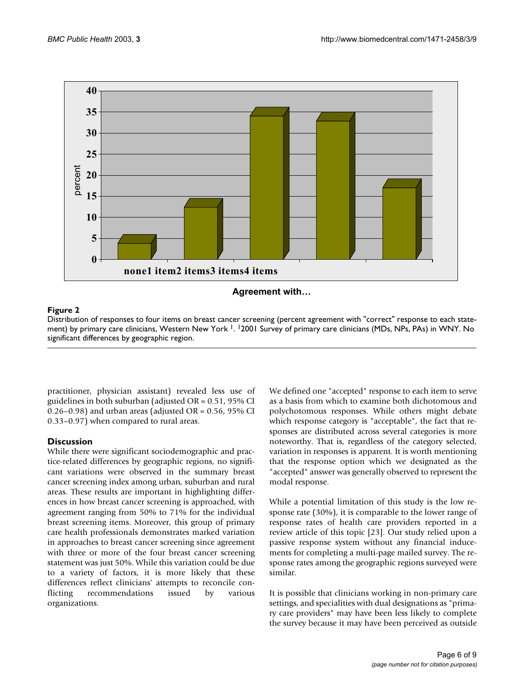

#### Agreement with…

#### **Figure 2**

Distribution of responses to four items on breast cancer screening (percent agreement with "correct" response to each statement) by primary care clinicians, Western New York <sup>1</sup>. <sup>1</sup>2001 Survey of primary care clinicians (MDs, NPs, PAs) in WNY. No significant differences by geographic region.

practitioner, physician assistant) revealed less use of guidelines in both suburban (adjusted OR = 0.51, 95% CI 0.26–0.98) and urban areas (adjusted OR =  $0.56$ , 95% CI 0.33–0.97) when compared to rural areas.

#### **Discussion**

While there were significant sociodemographic and practice-related differences by geographic regions, no significant variations were observed in the summary breast cancer screening index among urban, suburban and rural areas. These results are important in highlighting differences in how breast cancer screening is approached, with agreement ranging from 50% to 71% for the individual breast screening items. Moreover, this group of primary care health professionals demonstrates marked variation in approaches to breast cancer screening since agreement with three or more of the four breast cancer screening statement was just 50%. While this variation could be due to a variety of factors, it is more likely that these differences reflect clinicians' attempts to reconcile conflicting recommendations issued by various organizations.

We defined one "accepted" response to each item to serve as a basis from which to examine both dichotomous and polychotomous responses. While others might debate which response category is "acceptable", the fact that responses are distributed across several categories is more noteworthy. That is, regardless of the category selected, variation in responses is apparent. It is worth mentioning that the response option which we designated as the "accepted" answer was generally observed to represent the modal response.

While a potential limitation of this study is the low response rate (30%), it is comparable to the lower range of response rates of health care providers reported in a review article of this topic [23]. Our study relied upon a passive response system without any financial inducements for completing a multi-page mailed survey. The response rates among the geographic regions surveyed were similar.

It is possible that clinicians working in non-primary care settings, and specialities with dual designations as "primary care providers" may have been less likely to complete the survey because it may have been perceived as outside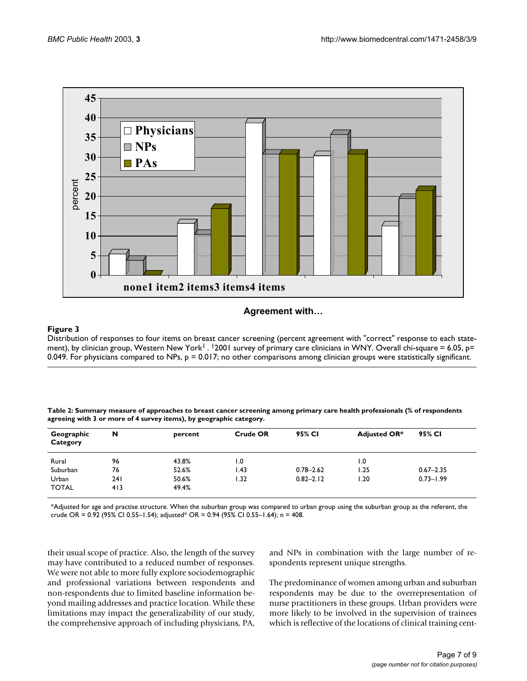<span id="page-6-0"></span>

### Agreement with…

#### **Figure 3**

Distribution of responses to four items on breast cancer screening (percent agreement with "correct" response to each statement), by clinician group, Western New York<sup>1</sup> . <sup>1</sup>2001 survey of primary care clinicians in WNY. Overall chi-square = 6.05, p= 0.049. For physicians compared to NPs,  $p = 0.017$ ; no other comparisons among clinician groups were statistically significant.

<span id="page-6-1"></span>**Table 2: Summary measure of approaches to breast cancer screening among primary care health professionals (% of respondents agreeing with 3 or more of 4 survey items), by geographic category.**

| Geographic<br>Category | N          | percent        | <b>Crude OR</b>  | 95% CI        | <b>Adjusted OR*</b> | 95% CI        |
|------------------------|------------|----------------|------------------|---------------|---------------------|---------------|
| Rural                  | 96         | 43.8%          | $\mathbf{0}$ . I |               | 1.0                 |               |
| Suburban               | 76         | 52.6%          | .43              | $0.78 - 2.62$ | 1.25                | $0.67 - 2.35$ |
| Urban<br><b>TOTAL</b>  | 241<br>413 | 50.6%<br>49.4% | 1.32             | $0.82 - 2.12$ | 1.20                | $0.73 - 1.99$ |

\*Adjusted for age and practise structure. When the suburban group was compared to urban group using the suburban group as the referent, the crude OR = 0.92 (95% CI 0.55–1.54); adjusted\* OR = 0.94 (95% CI 0.55–1.64); n = 408.

their usual scope of practice. Also, the length of the survey may have contributed to a reduced number of responses. We were not able to more fully explore sociodemographic and professional variations between respondents and non-respondents due to limited baseline information beyond mailing addresses and practice location. While these limitations may impact the generalizability of our study, the comprehensive approach of including physicians, PA,

and NPs in combination with the large number of respondents represent unique strengths.

The predominance of women among urban and suburban respondents may be due to the overrepresentation of nurse practitioners in these groups. Urban providers were more likely to be involved in the supervision of trainees which is reflective of the locations of clinical training cent-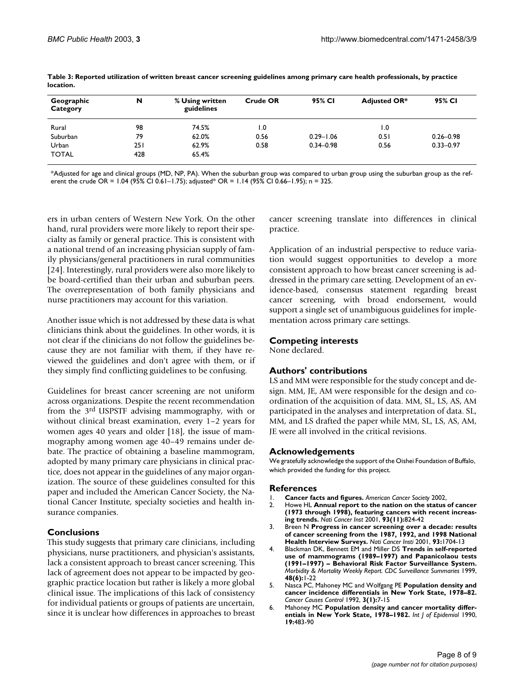| Geographic<br>Category | N   | % Using written<br>guidelines | <b>Crude OR</b> | 95% CI        | <b>Adjusted OR*</b> | 95% CI        |
|------------------------|-----|-------------------------------|-----------------|---------------|---------------------|---------------|
| Rural                  | 98  | 74.5%                         | I.O             |               | $\overline{1.0}$    |               |
| Suburban               | 79  | 62.0%                         | 0.56            | $0.29 - 1.06$ | 0.51                | $0.26 - 0.98$ |
| Urban                  | 251 | 62.9%                         | 0.58            | $0.34 - 0.98$ | 0.56                | $0.33 - 0.97$ |
| <b>TOTAL</b>           | 428 | 65.4%                         |                 |               |                     |               |

<span id="page-7-0"></span>**Table 3: Reported utilization of written breast cancer screening guidelines among primary care health professionals, by practice location.**

\*Adjusted for age and clinical groups (MD, NP, PA). When the suburban group was compared to urban group using the suburban group as the referent the crude OR = 1.04 (95% CI 0.61–1.75); adjusted\* OR = 1.14 (95% CI 0.66–1.95); n = 325.

ers in urban centers of Western New York. On the other hand, rural providers were more likely to report their specialty as family or general practice. This is consistent with a national trend of an increasing physician supply of family physicians/general practitioners in rural communities [24]. Interestingly, rural providers were also more likely to be board-certified than their urban and suburban peers. The overrepresentation of both family physicians and nurse practitioners may account for this variation.

Another issue which is not addressed by these data is what clinicians think about the guidelines. In other words, it is not clear if the clinicians do not follow the guidelines because they are not familiar with them, if they have reviewed the guidelines and don't agree with them, or if they simply find conflicting guidelines to be confusing.

Guidelines for breast cancer screening are not uniform across organizations. Despite the recent recommendation from the 3rd USPSTF advising mammography, with or without clinical breast examination, every 1–2 years for women ages 40 years and older [18], the issue of mammography among women age 40–49 remains under debate. The practice of obtaining a baseline mammogram, adopted by many primary care physicians in clinical practice, does not appear in the guidelines of any major organization. The source of these guidelines consulted for this paper and included the American Cancer Society, the National Cancer Institute, specialty societies and health insurance companies.

#### **Conclusions**

This study suggests that primary care clinicians, including physicians, nurse practitioners, and physician's assistants, lack a consistent approach to breast cancer screening. This lack of agreement does not appear to be impacted by geographic practice location but rather is likely a more global clinical issue. The implications of this lack of consistency for individual patients or groups of patients are uncertain, since it is unclear how differences in approaches to breast cancer screening translate into differences in clinical practice.

Application of an industrial perspective to reduce variation would suggest opportunities to develop a more consistent approach to how breast cancer screening is addressed in the primary care setting. Development of an evidence-based, consensus statement regarding breast cancer screening, with broad endorsement, would support a single set of unambiguous guidelines for implementation across primary care settings.

#### **Competing interests**

None declared.

#### **Authors' contributions**

LS and MM were responsible for the study concept and design. MM, JE, AM were responsible for the design and coordination of the acquisition of data. MM, SL, LS, AS, AM participated in the analyses and interpretation of data. SL, MM, and LS drafted the paper while MM, SL, LS, AS, AM, JE were all involved in the critical revisions.

#### **Acknowledgements**

We gratefully acknowledge the support of the Oishei Foundation of Buffalo, which provided the funding for this project.

#### **References**

- 1. **Cancer facts and figures.** *American Cancer Society* 2002,
- 2. Howe HL **[Annual report to the nation on the status of cancer](http://www.ncbi.nlm.nih.gov/entrez/query.fcgi?cmd=Retrieve&db=PubMed&dopt=Abstract&list_uids=11390532) [\(1973 through 1998\), featuring cancers with recent increas](http://www.ncbi.nlm.nih.gov/entrez/query.fcgi?cmd=Retrieve&db=PubMed&dopt=Abstract&list_uids=11390532)[ing trends.](http://www.ncbi.nlm.nih.gov/entrez/query.fcgi?cmd=Retrieve&db=PubMed&dopt=Abstract&list_uids=11390532)** *Nati Cancer Inst* 2001, **93(11):**824-42
- 3. Breen N **[Progress in cancer screening over a decade: results](http://www.ncbi.nlm.nih.gov/entrez/query.fcgi?cmd=Retrieve&db=PubMed&dopt=Abstract&list_uids=1171731) [of cancer screening from the 1987, 1992, and 1998 National](http://www.ncbi.nlm.nih.gov/entrez/query.fcgi?cmd=Retrieve&db=PubMed&dopt=Abstract&list_uids=1171731) [Health Interview Surveys.](http://www.ncbi.nlm.nih.gov/entrez/query.fcgi?cmd=Retrieve&db=PubMed&dopt=Abstract&list_uids=1171731)** *Nati Cancer Insti* 2001, **93:**1704-13
- 4. Blackman DK, Bennett EM and Miller DS **Trends in self-reported use of mammograms (1989–1997) and Papanicolaou tests (1991–1997) – Behavioral Risk Factor Surveillance System.** *Morbidity & Mortality Weekly Report. CDC Surveillance Summaries* 1999, **48(6):**1-22
- 5. Nasca PC, Mahoney MC and Wolfgang PE **[Population density and](http://www.ncbi.nlm.nih.gov/entrez/query.fcgi?cmd=Retrieve&db=PubMed&dopt=Abstract&list_uids=1536917) [cancer incidence differentials in New York State, 1978–82.](http://www.ncbi.nlm.nih.gov/entrez/query.fcgi?cmd=Retrieve&db=PubMed&dopt=Abstract&list_uids=1536917)** *Cancer Causes Control* 1992, **3(1):**7-15
- 6. Mahoney MC **[Population density and cancer mortality differ](http://www.ncbi.nlm.nih.gov/entrez/query.fcgi?cmd=Retrieve&db=PubMed&dopt=Abstract&list_uids=2262237)[entials in New York State, 1978–1982.](http://www.ncbi.nlm.nih.gov/entrez/query.fcgi?cmd=Retrieve&db=PubMed&dopt=Abstract&list_uids=2262237)** *Int J of Epidemiol* 1990, **19:**483-90